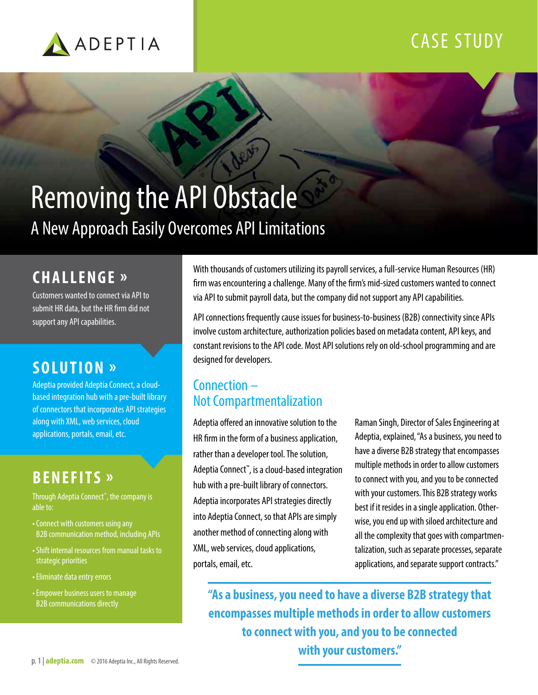

### CASE STUDY

# Removing the API Obstacle A New Approach Easily Overcomes API Limitations

### **CHALLENGE »**

Customers wanted to connect via API to submit HR data, but the HR firm did not support any API capabilities.

### **SOLUTION »**

Adeptia provided Adeptia Connect, a cloudbased integration hub with a pre-built library of connectors that incorporates API strategies along with XML, web services, cloud applications, portals, email, etc.

### **BENEFITS »**

Through Adeptia Connect™ , the company is able to:

- Connect with customers using any B2B communication method, including APIs
- Shift internal resources from manual tasks to strategic priorities
- Eliminate data entry errors
- Empower business users to manage B2B communications directly

With thousands of customers utilizing its payroll services, a full-service Human Resources (HR) firm was encountering a challenge. Many of the firm's mid-sized customers wanted to connect via API to submit payroll data, but the company did not support any API capabilities.

API connections frequently cause issues for business-to-business (B2B) connectivity since APIs involve custom architecture, authorization policies based on metadata content, API keys, and constant revisions to the API code. Most API solutions rely on old-school programming and are designed for developers.

### Connection – Not Compartmentalization

Adeptia offered an innovative solution to the HR firm in the form of a business application, rather than a developer tool. The solution, Adeptia Connect™ , is a cloud-based integration hub with a pre-built library of connectors. Adeptia incorporates API strategies directly into Adeptia Connect, so that APIs are simply another method of connecting along with XML, web services, cloud applications, portals, email, etc.

Raman Singh, Director of Sales Engineering at Adeptia, explained, "As a business, you need to have a diverse B2B strategy that encompasses multiple methods in order to allow customers to connect with you, and you to be connected with your customers. This B2B strategy works best if it resides in a single application. Otherwise, you end up with siloed architecture and all the complexity that goes with compartmentalization, such as separate processes, separate applications, and separate support contracts."

**"As a business, you need to have a diverse B2B strategy that encompasses multiple methods in order to allow customers to connect with you, and you to be connected with your customers."**